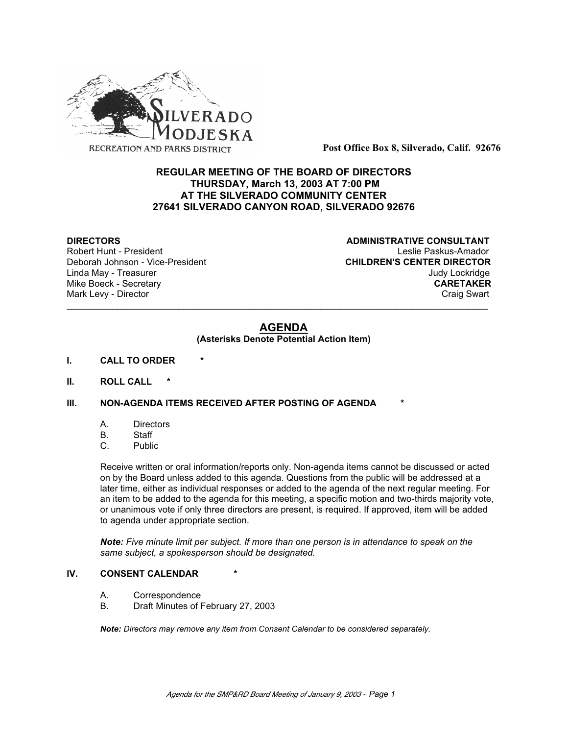

**Post Office Box 8, Silverado, Calif. 92676**

# **REGULAR MEETING OF THE BOARD OF DIRECTORS THURSDAY, March 13, 2003 AT 7:00 PM AT THE SILVERADO COMMUNITY CENTER 27641 SILVERADO CANYON ROAD, SILVERADO 92676**

Deborah Johnson - Vice-President

**DIRECTORS CONSULTANT** Robert Hunt - President<br>
Deborah Johnson - Vice-President 
Leslie Paskus-Amador<br>
CHILDREN'S CENTER DIRECTOR Linda May - Treasurer Judy Lockridge Mike Boeck - Secretary **CARETAKER** Mark Levy - Director **Craig Swart** Craig Swart Craig Swart Craig Swart

# **AGENDA**

\_\_\_\_\_\_\_\_\_\_\_\_\_\_\_\_\_\_\_\_\_\_\_\_\_\_\_\_\_\_\_\_\_\_\_\_\_\_\_\_\_\_\_\_\_\_\_\_\_\_\_\_\_\_\_\_\_\_\_\_\_\_\_\_\_\_\_\_\_\_\_\_\_\_\_\_\_\_\_\_\_\_\_

#### **(Asterisks Denote Potential Action Item)**

- **I. CALL TO ORDER \***
- **II. ROLL CALL \***

# **III. NON-AGENDA ITEMS RECEIVED AFTER POSTING OF AGENDA**

- A. Directors
- B. Staff
- C. Public

Receive written or oral information/reports only. Non-agenda items cannot be discussed or acted on by the Board unless added to this agenda. Questions from the public will be addressed at a later time, either as individual responses or added to the agenda of the next regular meeting. For an item to be added to the agenda for this meeting, a specific motion and two-thirds majority vote, or unanimous vote if only three directors are present, is required. If approved, item will be added to agenda under appropriate section.

*Note: Five minute limit per subject. If more than one person is in attendance to speak on the same subject, a spokesperson should be designated.*

#### **IV. CONSENT CALENDAR**

- A. Correspondence
- B. Draft Minutes of February 27, 2003

*Note: Directors may remove any item from Consent Calendar to be considered separately.*